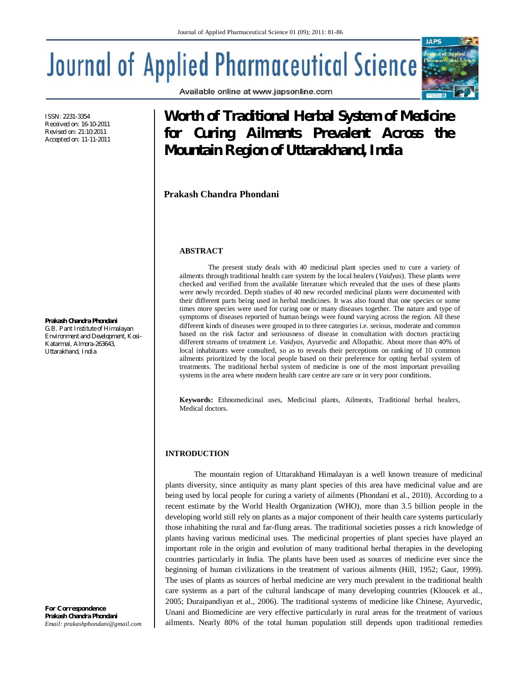Available online at www.japsonline.com

# **Journal of Applied Pharmaceutical Science**

ISSN: 2231-3354 Received on: 16-10-2011 Revised on: 21:10:2011 Accepted on: 11-11-2011

#### **Prakash Chandra Phondani**

*G.B. Pant Institute of Himalayan Environment and Development, Kosi-Katarmal, Almora-263643, Uttarakhand, India*

*For Correspondence* **Prakash Chandra Phondani** *Email: prakashphondani@gmail.com*

## **Worth of Traditional Herbal System of Medicine for Curing Ailments Prevalent Across the Mountain Region of Uttarakhand, India**

**Prakash Chandra Phondani**

#### **ABSTRACT**

The present study deals with 40 medicinal plant species used to cure a variety of ailments through traditional health care system by the local healers (*Vaidyas*). These plants were checked and verified from the available literature which revealed that the uses of these plants were newly recorded. Depth studies of 40 new recorded medicinal plants were documented with their different parts being used in herbal medicines. It was also found that one species or some times more species were used for curing one or many diseases together. The nature and type of symptoms of diseases reported of human beings were found varying across the region. All these different kinds of diseases were grouped in to three categories i.e. serious, moderate and common based on the risk factor and seriousness of disease in consultation with doctors practicing different streams of treatment i.e. *Vaidyas*, Ayurvedic and Allopathic. About more than 40% of local inhabitants were consulted, so as to reveals their perceptions on ranking of 10 common ailments prioritized by the local people based on their preference for opting herbal system of treatments. The traditional herbal system of medicine is one of the most important prevailing systems in the area where modern health care centre are rare or in very poor conditions.

**Keywords:** Ethnomedicinal uses, Medicinal plants, Ailments, Traditional herbal healers, Medical doctors.

#### **INTRODUCTION**

The mountain region of Uttarakhand Himalayan is a well known treasure of medicinal plants diversity, since antiquity as many plant species of this area have medicinal value and are being used by local people for curing a variety of ailments (Phondani et al., 2010). According to a recent estimate by the World Health Organization (WHO), more than 3.5 billion people in the developing world still rely on plants as a major component of their health care systems particularly those inhabiting the rural and far-flung areas. The traditional societies posses a rich knowledge of plants having various medicinal uses. The medicinal properties of plant species have played an important role in the origin and evolution of many traditional herbal therapies in the developing countries particularly in India. The plants have been used as sources of medicine ever since the beginning of human civilizations in the treatment of various ailments (Hill, 1952; Gaur, 1999). The uses of plants as sources of herbal medicine are very much prevalent in the traditional health care systems as a part of the cultural landscape of many developing countries (Kloucek et al., 2005; Duraipandiyan et al., 2006). The traditional systems of medicine like Chinese, Ayurvedic, Unani and Biomedicine are very effective particularly in rural areas for the treatment of various ailments. Nearly 80% of the total human population still depends upon traditional remedies

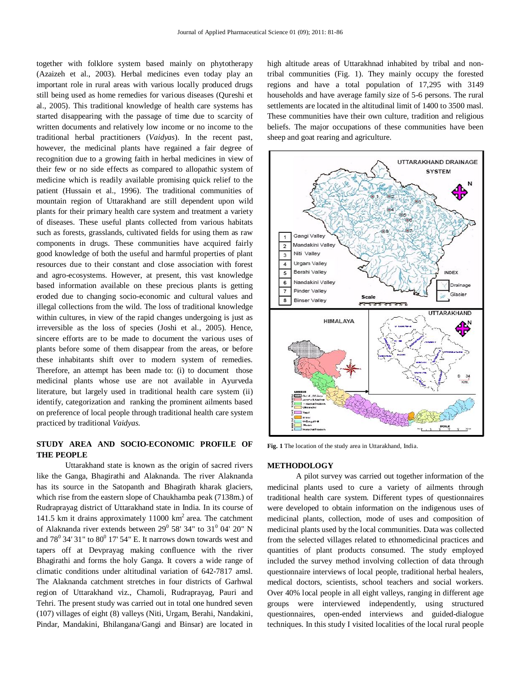together with folklore system based mainly on phytotherapy (Azaizeh et al., 2003). Herbal medicines even today play an important role in rural areas with various locally produced drugs still being used as home remedies for various diseases (Qureshi et al., 2005). This traditional knowledge of health care systems has started disappearing with the passage of time due to scarcity of written documents and relatively low income or no income to the traditional herbal practitioners (*Vaidyas*). In the recent past, however, the medicinal plants have regained a fair degree of recognition due to a growing faith in herbal medicines in view of their few or no side effects as compared to allopathic system of medicine which is readily available promising quick relief to the patient (Hussain et al., 1996). The traditional communities of mountain region of Uttarakhand are still dependent upon wild plants for their primary health care system and treatment a variety of diseases. These useful plants collected from various habitats such as forests, grasslands, cultivated fields for using them as raw components in drugs. These communities have acquired fairly good knowledge of both the useful and harmful properties of plant resources due to their constant and close association with forest and agro-ecosystems. However, at present, this vast knowledge based information available on these precious plants is getting eroded due to changing socio-economic and cultural values and illegal collections from the wild. The loss of traditional knowledge within cultures, in view of the rapid changes undergoing is just as irreversible as the loss of species (Joshi et al., 2005). Hence, sincere efforts are to be made to document the various uses of plants before some of them disappear from the areas, or before these inhabitants shift over to modern system of remedies. Therefore, an attempt has been made to: (i) to document those medicinal plants whose use are not available in Ayurveda literature, but largely used in traditional health care system (ii) identify, categorization and ranking the prominent ailments based on preference of local people through traditional health care system practiced by traditional *Vaidyas.*

### **STUDY AREA AND SOCIO-ECONOMIC PROFILE OF THE PEOPLE**

Uttarakhand state is known as the origin of sacred rivers like the Ganga, Bhagirathi and Alaknanda. The river Alaknanda has its source in the Satopanth and Bhagirath kharak glaciers, which rise from the eastern slope of Chaukhamba peak (7138m.) of Rudraprayag district of Uttarakhand state in India. In its course of 141.5 km it drains approximately 11000  $km<sup>2</sup>$  area. The catchment of Alaknanda river extends between  $29^{\circ}$  58' 34" to 31 $^{\circ}$  04' 20" N and  $78^{\circ}$  34' 31" to  $80^{\circ}$  17' 54" E. It narrows down towards west and tapers off at Devprayag making confluence with the river Bhagirathi and forms the holy Ganga. It covers a wide range of climatic conditions under altitudinal variation of 642-7817 amsl. The Alaknanda catchment stretches in four districts of Garhwal region of Uttarakhand viz., Chamoli, Rudraprayag, Pauri and Tehri. The present study was carried out in total one hundred seven (107) villages of eight (8) valleys (Niti, Urgam, Berahi, Nandakini, Pindar, Mandakini, Bhilangana/Gangi and Binsar) are located in

high altitude areas of Uttarakhnad inhabited by tribal and nontribal communities (Fig. 1). They mainly occupy the forested regions and have a total population of 17,295 with 3149 households and have average family size of 5-6 persons. The rural settlements are located in the altitudinal limit of 1400 to 3500 masl. These communities have their own culture, tradition and religious beliefs. The major occupations of these communities have been sheep and goat rearing and agriculture.



**Fig. 1** The location of the study area in Uttarakhand, India.

#### **METHODOLOGY**

A pilot survey was carried out together information of the medicinal plants used to cure a variety of ailments through traditional health care system. Different types of questionnaires were developed to obtain information on the indigenous uses of medicinal plants, collection, mode of uses and composition of medicinal plants used by the local communities. Data was collected from the selected villages related to ethnomedicinal practices and quantities of plant products consumed. The study employed included the survey method involving collection of data through questionnaire interviews of local people, traditional herbal healers, medical doctors, scientists, school teachers and social workers. Over 40% local people in all eight valleys, ranging in different age groups were interviewed independently, using structured questionnaires, open-ended interviews and guided-dialogue techniques. In this study I visited localities of the local rural people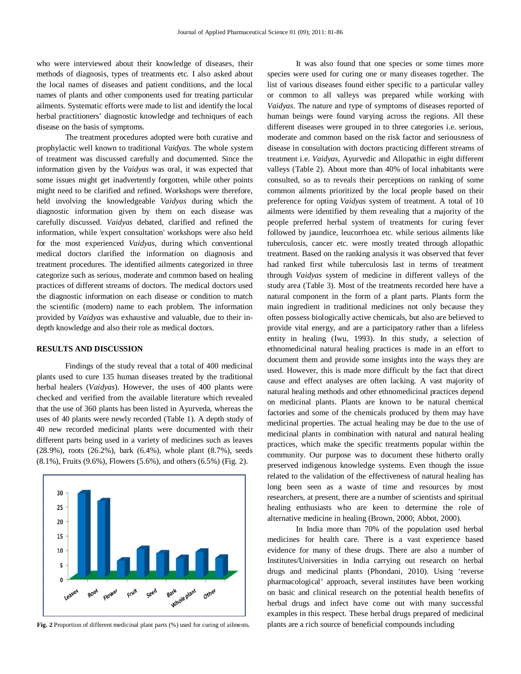who were interviewed about their knowledge of diseases, their methods of diagnosis, types of treatments etc. I also asked about the local names of diseases and patient conditions, and the local names of plants and other components used for treating particular ailments. Systematic efforts were made to list and identify the local herbal practitioners' diagnostic knowledge and techniques of each disease on the basis of symptoms.

The treatment procedures adopted were both curative and prophylactic well known to traditional *Vaidyas.* The whole system of treatment was discussed carefully and documented. Since the information given by the *Vaidyas* was oral, it was expected that some issues might get inadvertently forgotten, while other points might need to be clarified and refined. Workshops were therefore, held involving the knowledgeable *Vaidyas* during which the diagnostic information given by them on each disease was carefully discussed. *Vaidyas* debated, clarified and refined the information, while 'expert consultation' workshops were also held for the most experienced *Vaidyas*, during which conventional medical doctors clarified the information on diagnosis and treatment procedures. The identified ailments categorized in three categorize such as serious, moderate and common based on healing practices of different streams of doctors. The medical doctors used the diagnostic information on each disease or condition to match the scientific (modern) name to each problem. The information provided by *Vaidyas* was exhaustive and valuable, due to their indepth knowledge and also their role as medical doctors.

#### **RESULTS AND DISCUSSION**

 Findings of the study reveal that a total of 400 medicinal plants used to cure 135 human diseases treated by the traditional herbal healers (*Vaidyas*). However, the uses of 400 plants were checked and verified from the available literature which revealed that the use of 360 plants has been listed in Ayurveda, whereas the uses of 40 plants were newly recorded (Table 1). A depth study of 40 new recorded medicinal plants were documented with their different parts being used in a variety of medicines such as leaves (28.9%), roots (26.2%), bark (6.4%), whole plant (8.7%), seeds (8.1%), Fruits (9.6%), Flowers (5.6%), and others (6.5%) (Fig. 2).



**Fig. 2** Proportion of different medicinal plant parts (%) used for curing of ailments.

It was also found that one species or some times more species were used for curing one or many diseases together. The list of various diseases found either specific to a particular valley or common to all valleys was prepared while working with *Vaidyas*. The nature and type of symptoms of diseases reported of human beings were found varying across the regions. All these different diseases were grouped in to three categories i.e. serious, moderate and common based on the risk factor and seriousness of disease in consultation with doctors practicing different streams of treatment i.e. *Vaidyas*, Ayurvedic and Allopathic in eight different valleys (Table 2). About more than 40% of local inhabitants were consulted, so as to reveals their perceptions on ranking of some common ailments prioritized by the local people based on their preference for opting *Vaidyas* system of treatment. A total of 10 ailments were identified by them revealing that a majority of the people preferred herbal system of treatments for curing fever followed by jaundice, leucorrhoea etc. while serious ailments like tuberculosis, cancer etc. were mostly treated through allopathic treatment. Based on the ranking analysis it was observed that fever had ranked first while tuberculosis last in terms of treatment through *Vaidyas* system of medicine in different valleys of the study area (Table 3). Most of the treatments recorded here have a natural component in the form of a plant parts. Plants form the main ingredient in traditional medicines not only because they often possess biologically active chemicals, but also are believed to provide vital energy, and are a participatory rather than a lifeless entity in healing (Iwu, 1993). In this study, a selection of ethnomedicinal natural healing practices is made in an effort to document them and provide some insights into the ways they are used. However, this is made more difficult by the fact that direct cause and effect analyses are often lacking. A vast majority of natural healing methods and other ethnomedicinal practices depend on medicinal plants. Plants are known to be natural chemical factories and some of the chemicals produced by them may have medicinal properties. The actual healing may be due to the use of medicinal plants in combination with natural and natural healing practices, which make the specific treatments popular within the community. Our purpose was to document these hitherto orally preserved indigenous knowledge systems. Even though the issue related to the validation of the effectiveness of natural healing has long been seen as a waste of time and resources by most researchers, at present, there are a number of scientists and spiritual healing enthusiasts who are keen to determine the role of alternative medicine in healing (Brown, 2000; Abbot, 2000).

In India more than 70% of the population used herbal medicines for health care. There is a vast experience based evidence for many of these drugs. There are also a number of Institutes/Universities in India carrying out research on herbal drugs and medicinal plants (Phondani, 2010). Using 'reverse pharmacological' approach, several institutes have been working on basic and clinical research on the potential health benefits of herbal drugs and infect have come out with many successful examples in this respect. These herbal drugs prepared of medicinal plants are a rich source of beneficial compounds including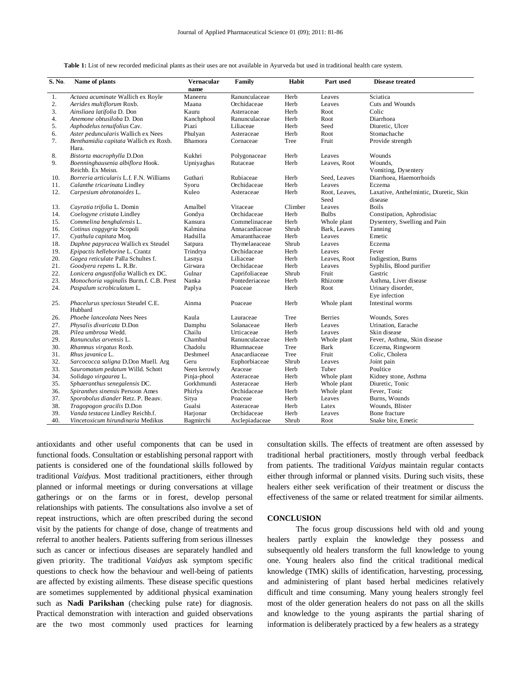| S. No. | Name of plants                                        | Vernacular<br>name | Family         | Habit   | Part used             | <b>Disease treated</b>                            |
|--------|-------------------------------------------------------|--------------------|----------------|---------|-----------------------|---------------------------------------------------|
| 1.     | Actaea acuminate Wallich ex Royle                     | Maneeru            | Ranunculaceae  | Herb    | Leaves                | Sciatica                                          |
| 2.     | Aerides multiflorum Roxb.                             | Maana              | Orchidaceae    | Herb    | Leaves                | Cuts and Wounds                                   |
| 3.     | Ainsliaea latifolia D. Don                            | Kauru              | Asteraceae     | Herb    | Root                  | Colic                                             |
| 4.     | Anemone obtusiloba D. Don                             | Kanchphool         | Ranunculaceae  | Herb    | Root                  | Diarrhoea                                         |
| 5.     | Asphodelus tenuifolius Cav.                           | Piazi              | Liliaceae      | Herb    | Seed                  | Diuretic, Ulcer                                   |
| 6.     | Aster peduncularis Wallich ex Nees                    | Phulyan            | Asteraceae     | Herb    | Root                  | Stomachache                                       |
| 7.     | Benthamidia capitata Wallich ex Roxb.<br>Hara.        | Bhamora            | Cornaceae      | Tree    | Fruit                 | Provide strength                                  |
| 8.     | Bistorta macrophylla D.Don                            | Kukhri             | Polygonaceae   | Herb    | Leaves                | Wounds                                            |
| 9.     | Boenninghausenia albiflora Hook.<br>Reichb. Ex Meisn. | Upniyaghas         | Rutaceae       | Herb    | Leaves, Root          | Wounds,<br>Vomiting, Dysentery                    |
| 10.    | Borreria articularis L.f. F.N. Williams               | Guthari            | Rubiaceae      | Herb    | Seed, Leaves          | Diarrhoea, Haemorrhoids                           |
| 11.    | Calanthe tricarinata Lindley                          | Syoru              | Orchidaceae    | Herb    | Leaves                | Eczema                                            |
| 12.    | Carpesium abrotanoides L.                             | Kuleo              | Asteraceae     | Herb    | Root, Leaves,<br>Seed | Laxative, Anthelmintic, Diuretic, Skin<br>disease |
| 13.    | Cayratia trifolia L. Domin                            | Amalbel            | Vitaceae       | Climber | Leaves                | <b>Boils</b>                                      |
| 14.    | Coelogyne cristata Lindley                            | Gondya             | Orchidaceae    | Herb    | <b>Bulbs</b>          | Constipation, Aphrodisiac                         |
| 15.    | Commelina benghalensis L.                             | Kansura            | Commelinaceae  | Herb    | Whole plant           | Dysentery, Swelling and Pain                      |
| 16.    | Cotinus coggygria Scopoli                             | Kalmina            | Annacardiaceae | Shrub   | Bark, Leaves          | Tanning                                           |
| 17.    | Cyathula capitata Moq.                                | Hadsilla           | Amaranthaceae  | Herb    | Leaves                | Emetic                                            |
| 18.    | Daphne papyracea Wallich ex Steudel                   | Satpura            | Thymelaeaceae  | Shrub   | Leaves                | Eczema                                            |
| 19.    | Epipactis helleborine L. Crantz                       | Trindrya           | Orchidaceae    | Herb    | Leaves                | Fever                                             |
| 20.    | Gagea reticulate Palla Schultes f.                    | Lasnya             | Liliaceae      | Herb    | Leaves, Root          | Indigestion, Burns                                |
| 21.    | Goodyera repens L. R.Br.                              | Girwara            | Orchidaceae    | Herb    | Leaves                | Syphilis, Blood purifier                          |
| 22.    | Lonicera angustifolia Wallich ex DC.                  | Gulnar             | Caprifoliaceae | Shrub   | Fruit                 | Gastric                                           |
| 23.    | Monochoria vaginalis Burm.f. C.B. Prest               | Nanka              | Pontederiaceae | Herb    | Rhizome               | Asthma, Liver disease                             |
| 24.    | Paspalum scrobiculatum L.                             | Paplya             | Poaceae        | Herb    | Root                  | Urinary disorder,<br>Eye infection                |
| 25.    | Phacelurus speciosus Steudel C.E.<br>Hubbard          | Ainma              | Poaceae        | Herb    | Whole plant           | Intestinal worms                                  |
| 26.    | Phoebe lanceolata Nees Nees                           | Kaula              | Lauraceae      | Tree    | <b>Berries</b>        | Wounds, Sores                                     |
| 27.    | Physalis divaricata D.Don                             | Damphu             | Solanaceae     | Herb    | Leaves                | Urination, Earache                                |
| 28.    | Pilea umbrosa Wedd.                                   | Chailu             | Urticaceae     | Herb    | Leaves                | Skin disease                                      |
| 29.    | Ranunculus arvensis L.                                | Chambul            | Ranunculaceae  | Herb    | Whole plant           | Fever, Asthma, Skin disease                       |
| 30.    | Rhamnus virgatus Roxb.                                | Chadolu            | Rhamnaceae     | Tree    | Bark                  | Eczema, Ringworm                                  |
| 31.    | Rhus javanica L.                                      | Deshmeel           | Anacardiaceae  | Tree    | Fruit                 | Colic. Cholera                                    |
| 32.    | Sarcococca saligna D.Don Muell. Arg                   | Geru               | Euphorbiaceae  | Shrub   | Leaves                | Joint pain                                        |
| 33.    | Sauromatum pedatum Willd. Schott                      | Neen kerowly       | Araceae        | Herb    | Tuber                 | Poultice                                          |
| 34.    | Solidago virgaurea L.                                 | Pinja-phool        | Asteraceae     | Herb    | Whole plant           | Kidney stone, Asthma                              |
| 35.    | Sphaeranthus senegalensis DC.                         | Gorkhmundi         | Asteraceae     | Herb    | Whole plant           | Diuretic, Tonic                                   |
| 36.    | Spiranthes sinensis Persoon Ames                      | Phirlya            | Orchidaceae    | Herb    | Whole plant           | Fever, Tonic                                      |
| 37.    | Sporobolus diander Retz. P. Beauv.                    | Sitya              | Poaceae        | Herb    | Leaves                | Burns, Wounds                                     |
| 38.    | Tragopogon gracilis D.Don                             | Gualsi             | Asteraceae     | Herb    | Latex                 | Wounds, Blister                                   |
| 39.    | Vanda testacea Lindley Reichb.f.                      | Harjonar           | Orchidaceae    | Herb    | Leaves                | Bone fracture                                     |
| 40.    | Vincetoxicum hirundinaria Medikus                     | Bagmirchi          | Asclepiadaceae | Shrub   | Root                  | Snake bite, Emetic                                |
|        |                                                       |                    |                |         |                       |                                                   |

antioxidants and other useful components that can be used in functional foods. Consultation or establishing personal rapport with patients is considered one of the foundational skills followed by traditional *Vaidyas*. Most traditional practitioners, either through planned or informal meetings or during conversations at village gatherings or on the farms or in forest, develop personal relationships with patients. The consultations also involve a set of repeat instructions, which are often prescribed during the second visit by the patients for change of dose, change of treatments and referral to another healers. Patients suffering from serious illnesses such as cancer or infectious diseases are separately handled and given priority. The traditional *Vaidyas* ask symptom specific questions to check how the behaviour and well-being of patients are affected by existing ailments. These disease specific questions are sometimes supplemented by additional physical examination such as **Nadi Parikshan** (checking pulse rate) for diagnosis. Practical demonstration with interaction and guided observations are the two most commonly used practices for learning

consultation skills. The effects of treatment are often assessed by traditional herbal practitioners, mostly through verbal feedback from patients. The traditional *Vaidyas* maintain regular contacts either through informal or planned visits. During such visits, these healers either seek verification of their treatment or discuss the effectiveness of the same or related treatment for similar ailments.

#### **CONCLUSION**

The focus group discussions held with old and young healers partly explain the knowledge they possess and subsequently old healers transform the full knowledge to young one. Young healers also find the critical traditional medical knowledge (TMK) skills of identification, harvesting, processing, and administering of plant based herbal medicines relatively difficult and time consuming. Many young healers strongly feel most of the older generation healers do not pass on all the skills and knowledge to the young aspirants the partial sharing of information is deliberately practiced by a few healers as a strategy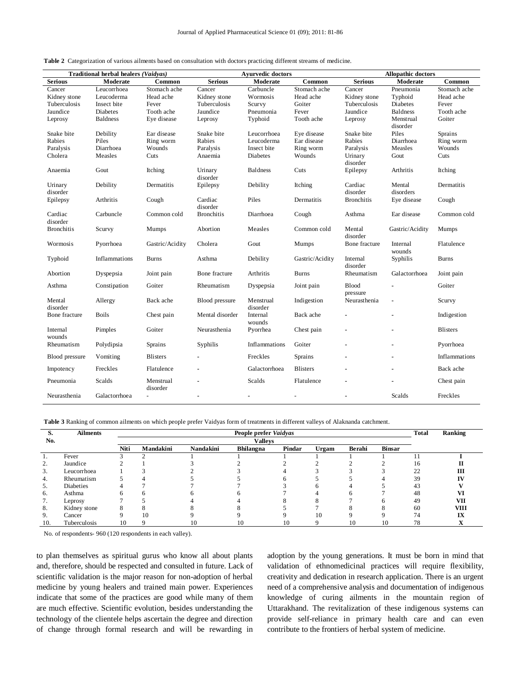|                     | Traditional herbal healers (Vaidyas) |                       |                     | <b>Avurvedic doctors</b> |                 | <b>Allopathic doctors</b> |                       |                 |  |
|---------------------|--------------------------------------|-----------------------|---------------------|--------------------------|-----------------|---------------------------|-----------------------|-----------------|--|
| <b>Serious</b>      | Moderate                             | Common                | <b>Serious</b>      | Moderate                 | Common          | <b>Serious</b>            | Moderate              | Common          |  |
| Cancer              | Leucorrhoea                          | Stomach ache          | Cancer              | Carbuncle                | Stomach ache    | Cancer                    | Pneumonia             | Stomach ache    |  |
| Kidney stone        | Leucoderma                           | Head ache             | Kidney stone        | Wormosis                 | Head ache       | Kidney stone              | Typhoid               | Head ache       |  |
| Tuberculosis        | Insect bite                          | Fever                 | Tuberculosis        | Scurvy                   | Goiter          | Tuberculosis              | Diabetes              | Fever           |  |
| Jaundice            | Diabetes                             | Tooth ache            | Jaundice            | Pneumonia                | Fever           | Jaundice                  | <b>Baldness</b>       | Tooth ache      |  |
| Leprosy             | <b>Baldness</b>                      | Eye disease           | Leprosy             | Typhoid                  | Tooth ache      | Leprosy                   | Menstrual<br>disorder | Goiter          |  |
| Snake bite          | Debility                             | Ear disease           | Snake bite          | Leucorrhoea              | Eye disease     | Snake bite                | Piles                 | Sprains         |  |
| Rabies              | Piles                                | Ring worm             | Rabies              | Leucoderma               | Ear disease     | Rabies                    | Diarrhoea             | Ring worm       |  |
| Paralysis           | Diarrhoea                            | Wounds                | Paralysis           | Insect bite              | Ring worm       | Paralysis                 | Measles               | Wounds          |  |
| Cholera             | Measles                              | Cuts                  | Anaemia             | Diabetes                 | Wounds          | Urinary<br>disorder       | Gout                  | Cuts            |  |
| Anaemia             | Gout                                 | Itching               | Urinary<br>disorder | <b>Baldness</b>          | Cuts            | Epilepsy                  | Arthritis             | Itching         |  |
| Urinary<br>disorder | Debility                             | Dermatitis            | Epilepsy            | Debility                 | Itching         | Cardiac<br>disorder       | Mental<br>disorders   | Dermatitis      |  |
| Epilepsy            | Arthritis                            | Cough                 | Cardiac<br>disorder | Piles                    | Dermatitis      | <b>Bronchitis</b>         | Eye disease           | Cough           |  |
| Cardiac<br>disorder | Carbuncle                            | Common cold           | <b>Bronchitis</b>   | Diarrhoea                | Cough           | Asthma                    | Ear disease           | Common cold     |  |
| <b>Bronchitis</b>   | Scurvy                               | Mumps                 | Abortion            | Measles                  | Common cold     | Mental<br>disorder        | Gastric/Acidity       | Mumps           |  |
| Wormosis            | Pyorrhoea                            | Gastric/Acidity       | Cholera             | Gout                     | Mumps           | Bone fracture             | Internal<br>wounds    | Flatulence      |  |
| Typhoid             | Inflammations                        | <b>Burns</b>          | Asthma              | Debility                 | Gastric/Acidity | Internal<br>disorder      | Syphilis              | <b>Burns</b>    |  |
| Abortion            | Dyspepsia                            | Joint pain            | Bone fracture       | Arthritis                | <b>Burns</b>    | Rheumatism                | Galactorrhoea         | Joint pain      |  |
| Asthma              | Constipation                         | Goiter                | Rheumatism          | Dyspepsia                | Joint pain      | Blood<br>pressure         |                       | Goiter          |  |
| Mental<br>disorder  | Allergy                              | Back ache             | Blood pressure      | Menstrual<br>disorder    | Indigestion     | Neurasthenia              |                       | Scurvy          |  |
| Bone fracture       | <b>Boils</b>                         | Chest pain            | Mental disorder     | Internal<br>wounds       | Back ache       |                           |                       | Indigestion     |  |
| Internal<br>wounds  | Pimples                              | Goiter                | Neurasthenia        | Pyorrhea                 | Chest pain      |                           |                       | <b>Blisters</b> |  |
| Rheumatism          | Polydipsia                           | Sprains               | Syphilis            | Inflammations            | Goiter          |                           |                       | Pyorrhoea       |  |
| Blood pressure      | Vomiting                             | <b>Blisters</b>       |                     | Freckles                 | Sprains         |                           |                       | Inflammations   |  |
| Impotency           | Freckles                             | Flatulence            |                     | Galactorrhoea            | <b>Blisters</b> |                           |                       | Back ache       |  |
| Pneumonia           | Scalds                               | Menstrual<br>disorder |                     | Scalds                   | Flatulence      |                           |                       | Chest pain      |  |
| Neurasthenia        | Galactorrhoea                        |                       | $\blacksquare$      | ٠                        | $\overline{a}$  |                           | Scalds                | Freckles        |  |

|  | <b>Table 2</b> Categorization of various ailments based on consultation with doctors practicing different streams of medicine. |  |  |  |  |  |  |  |  |  |
|--|--------------------------------------------------------------------------------------------------------------------------------|--|--|--|--|--|--|--|--|--|
|--|--------------------------------------------------------------------------------------------------------------------------------|--|--|--|--|--|--|--|--|--|

**Table 3** Ranking of common ailments on which people prefer Vaidyas form of treatments in different valleys of Alaknanda catchment.

| S.  | <b>Ailments</b>  | People prefer Vaidyas |           |           |                  |        |       |        |               | <b>Total</b> | Ranking     |
|-----|------------------|-----------------------|-----------|-----------|------------------|--------|-------|--------|---------------|--------------|-------------|
| No. |                  | <b>Valleys</b>        |           |           |                  |        |       |        |               |              |             |
|     |                  | Niti                  | Mandakini | Nandakini | <b>Bhilangna</b> | Pindar | Urgam | Berahi | <b>Binsar</b> |              |             |
|     | Fever            |                       |           |           |                  |        |       |        |               |              |             |
| ۷.  | Jaundice         |                       |           |           |                  |        |       |        |               | 16           |             |
| 3.  | Leucorrhoea      |                       |           |           |                  |        |       |        |               | 22           |             |
| 4.  | Rheumatism       |                       |           |           |                  |        |       |        |               | 39           |             |
| 5.  | <b>Diabeties</b> |                       |           |           |                  |        |       |        |               | 43           |             |
| 6.  | Asthma           |                       |           |           |                  |        |       |        |               | 48           |             |
|     | Leprosy          |                       |           |           |                  |        |       |        |               | 49           | VП          |
| 8.  | Kidney stone     |                       |           |           |                  |        |       |        |               | 60           | <b>VIII</b> |
| 9.  | Cancer           |                       | 10        |           |                  |        | 10    |        |               | 74           | IX          |
| 10. | Tuberculosis     | 10                    |           |           | 10               | 10     |       | 10     | 10            | 78           |             |

No. of respondents- 960 (120 respondents in each valley).

to plan themselves as spiritual gurus who know all about plants and, therefore, should be respected and consulted in future. Lack of scientific validation is the major reason for non-adoption of herbal medicine by young healers and trained main power. Experiences indicate that some of the practices are good while many of them are much effective. Scientific evolution, besides understanding the technology of the clientele helps ascertain the degree and direction of change through formal research and will be rewarding in

adoption by the young generations. It must be born in mind that validation of ethnomedicinal practices will require flexibility, creativity and dedication in research application. There is an urgent need of a comprehensive analysis and documentation of indigenous knowledge of curing ailments in the mountain region of Uttarakhand. The revitalization of these indigenous systems can provide self-reliance in primary health care and can even contribute to the frontiers of herbal system of medicine.